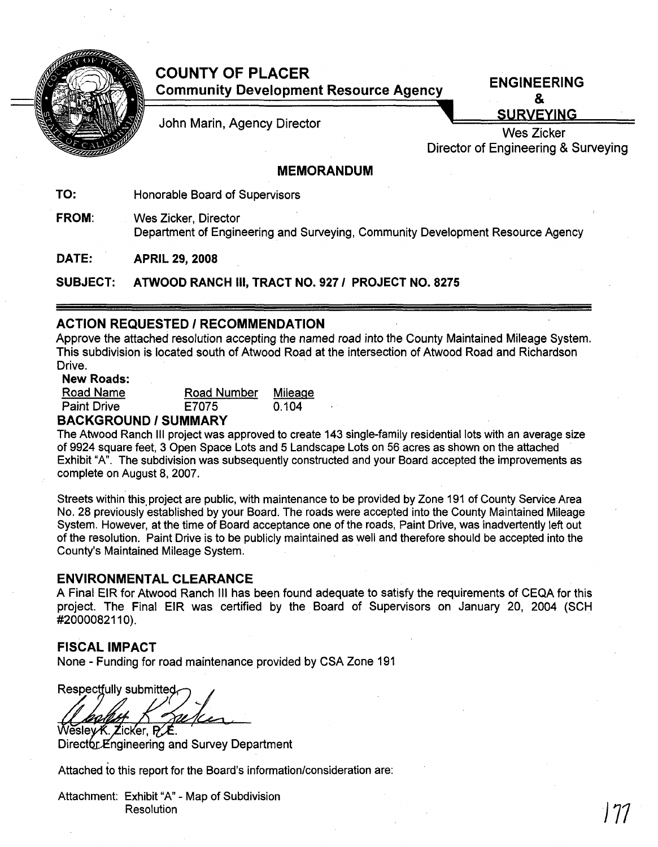

# **COUNTY OF PLACER Community Development Resource Agency**

**ENGINEERING** &

**SURVEYING** 

John Marin, Agency Director

Wes Zicker Director of Engineering & Surveying

#### **MEMORANDUM**

**TO:** Honorable Board of Supervisors

**FROM:** Wes Zicker, Director Department of Engineering and Surveying, Community Development Resource Agency

**DATE: APRIL 29,2008**

**SUBJECT: ATWOOD RANCH III, TRACT NO. 927 I PROJECT NO. 8275**

## **ACTION REQUESTED / RECOMMENDATION**

Approve the attached resolution accepting the named road into the County Maintained Mileage System. This subdivision is located south of Atwood Road at the intersection of Atwood Road and Richardson Drive.

#### **New Roads:**

Paint Drive E7075 0.104

Road Name Road Number Mileage

#### **BACKGROUND/SUMMARY**

The Atwood Ranch III project was approved to create 143 single-family residential lots with an average size of 9924 square feet, 3 Open Space Lots and 5 Landscape Lots on 56 acres as shown on the attached Exhibit "A". The subdivision was subsequently constructed and your Board accepted the improvements as complete on August 8, 2007.

Streets within this project are public, with maintenance to be provided by Zone 191 of County Service Area No. 28 previously established by your Board. The roads were accepted into the County Maintained Mileage System. However, at the time of Board acceptance one of the roads, Paint Drive, was inadvertently left out of the resolution. Paint Drive is to be publicly maintained as well and therefore should be accepted into the County's Maintained Mileage System.

#### **ENVIRONMENTAL CLEARANCE**

A Final EIR for Atwood Ranch III has been found adequate to satisfy the requirements of CEQA for this project. The Final EIR was certified by the Board of Supervisors on January 20, 2004 (SCH #2000082110).

## **FISCAL IMPACT**

None - Funding for road maintenance provided by CSA Zone 191

Respectfully submitted Weslev K. Zicker. P.

Director Engineering and Survey Department

Attached to this report for the Board's information/consideration are:

Attachment: Exhibit "A" - Map of Subdivision Resolution  $\binom{7}{1}$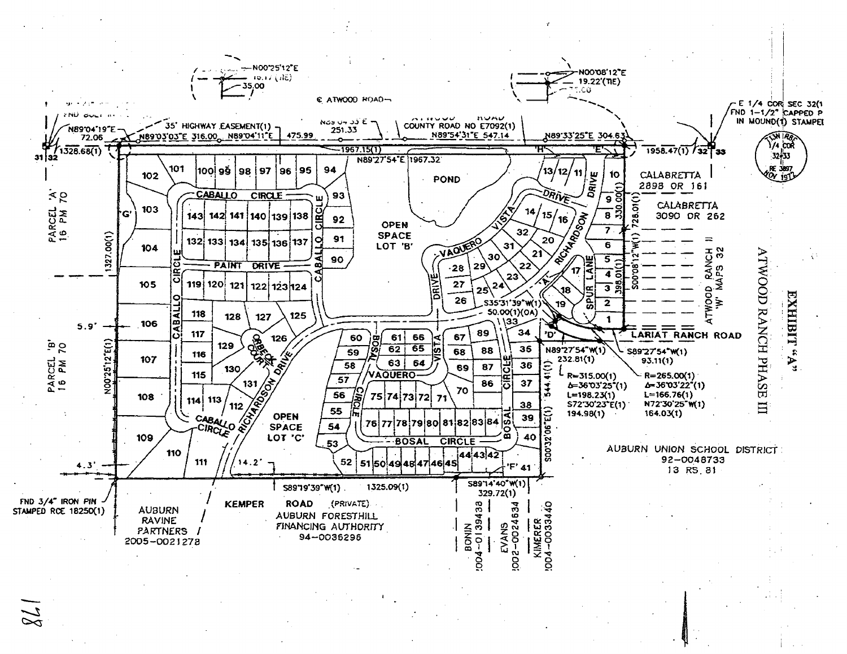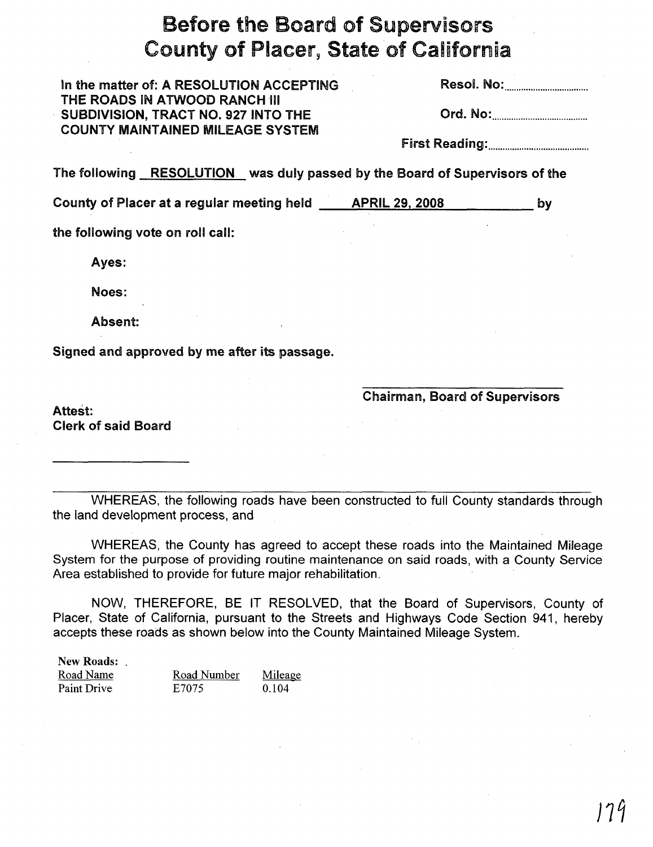# Before the Board of Supervisors **County of Placer, State of California**

In the matter of: A RESOLUTION ACCEPTING THE ROADS IN ATWOOD RANCH 'III . SUBDIVISION, TRACT NO. 927 INTO THE COUNTY MAINTAINED MILEAGE SYSTEM

Reso!. No: . Ord. No: .

First Reading: .

Chairman, Board of Supervisors

The following RESOLUTION was duly passed by the Board of Supervisors of the

County of Placer at a regular meeting held \_---'AP,;.,;R;.;.;;IL;;;;..;2=9"""","""'2"""O...;;,O.;;..8 by

the following vote on roll call:

Ayes:

Noes:

Absent:

Signed and approved by me after its passage.

Attest: Clerk of said Board

WHEREAS, the following roads have been constructed to full County standards through the land development process, and

WHEREAS, the County has agreed to accept these roads into the Maintained Mileage System for the purpose of providing routine maintenance on said roads, with a County Service Area established to provide for future major rehabilitation.

NOW, THEREFORE, BE IT RESOLVED, that the Board of Supervisors, County of Placer, State of California, pursuant to the Streets and Highways Code Section 941, hereby accepts these roads as shown below into the County Maintained Mileage System.

| <b>New Roads:</b> |             |         |
|-------------------|-------------|---------|
| Road Name         | Road Number | Mileage |
| Paint Drive       | E7075       | 0.104   |